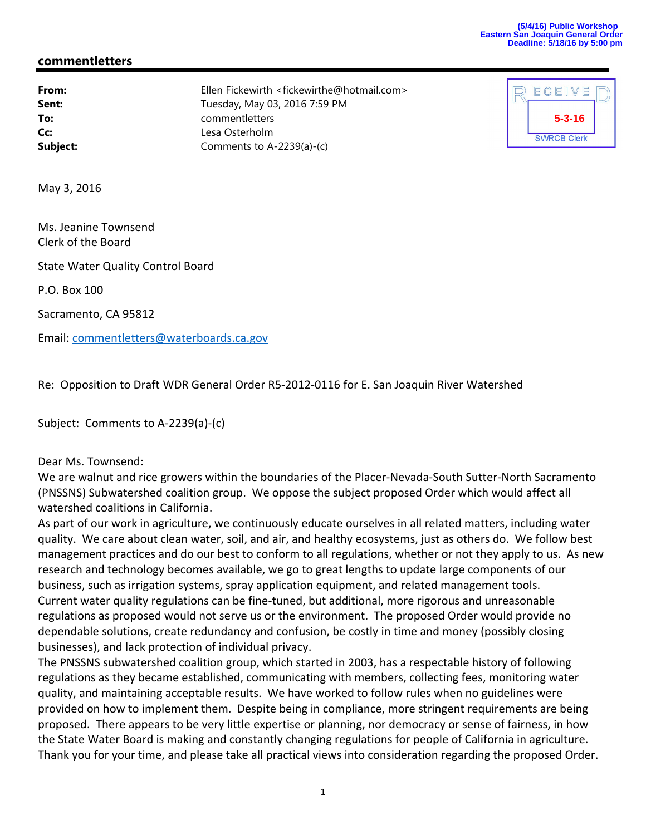## **commentletters**

**From:** Ellen Fickewirth <fickewirthe@hotmail.com> **Sent:** Tuesday, May 03, 2016 7:59 PM **To:** commentletters **Cc:** Lesa Osterholm **Subject:** Comments to A-2239(a)-(c)



May 3, 2016

Ms. Jeanine Townsend Clerk of the Board

State Water Quality Control Board

P.O. Box 100

Sacramento, CA 95812

Email: commentletters@waterboards.ca.gov

Re: Opposition to Draft WDR General Order R5‐2012‐0116 for E. San Joaquin River Watershed

Subject: Comments to A‐2239(a)‐(c)

Dear Ms. Townsend:

We are walnut and rice growers within the boundaries of the Placer‐Nevada‐South Sutter‐North Sacramento (PNSSNS) Subwatershed coalition group. We oppose the subject proposed Order which would affect all watershed coalitions in California.

As part of our work in agriculture, we continuously educate ourselves in all related matters, including water quality. We care about clean water, soil, and air, and healthy ecosystems, just as others do. We follow best management practices and do our best to conform to all regulations, whether or not they apply to us. As new research and technology becomes available, we go to great lengths to update large components of our business, such as irrigation systems, spray application equipment, and related management tools. Current water quality regulations can be fine‐tuned, but additional, more rigorous and unreasonable regulations as proposed would not serve us or the environment. The proposed Order would provide no dependable solutions, create redundancy and confusion, be costly in time and money (possibly closing businesses), and lack protection of individual privacy.

The PNSSNS subwatershed coalition group, which started in 2003, has a respectable history of following regulations as they became established, communicating with members, collecting fees, monitoring water quality, and maintaining acceptable results. We have worked to follow rules when no guidelines were provided on how to implement them. Despite being in compliance, more stringent requirements are being proposed. There appears to be very little expertise or planning, nor democracy or sense of fairness, in how the State Water Board is making and constantly changing regulations for people of California in agriculture. Thank you for your time, and please take all practical views into consideration regarding the proposed Order.